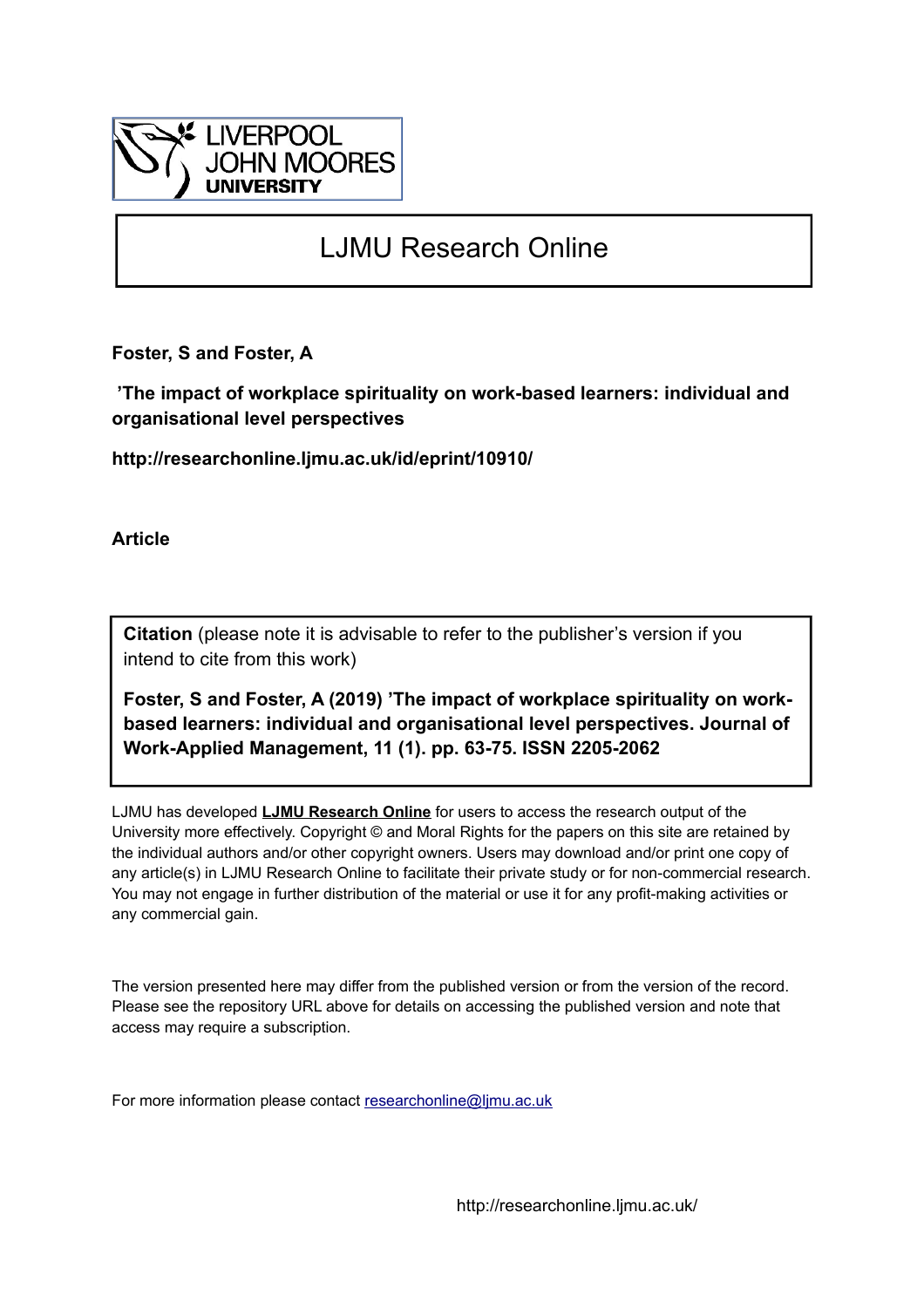

## LJMU Research Online

**Foster, S and Foster, A**

 **'The impact of workplace spirituality on work-based learners: individual and organisational level perspectives**

**http://researchonline.ljmu.ac.uk/id/eprint/10910/**

**Article**

**Citation** (please note it is advisable to refer to the publisher's version if you intend to cite from this work)

**Foster, S and Foster, A (2019) 'The impact of workplace spirituality on workbased learners: individual and organisational level perspectives. Journal of Work-Applied Management, 11 (1). pp. 63-75. ISSN 2205-2062** 

LJMU has developed **[LJMU Research Online](http://researchonline.ljmu.ac.uk/)** for users to access the research output of the University more effectively. Copyright © and Moral Rights for the papers on this site are retained by the individual authors and/or other copyright owners. Users may download and/or print one copy of any article(s) in LJMU Research Online to facilitate their private study or for non-commercial research. You may not engage in further distribution of the material or use it for any profit-making activities or any commercial gain.

The version presented here may differ from the published version or from the version of the record. Please see the repository URL above for details on accessing the published version and note that access may require a subscription.

For more information please contact [researchonline@ljmu.ac.uk](mailto:researchonline@ljmu.ac.uk)

http://researchonline.ljmu.ac.uk/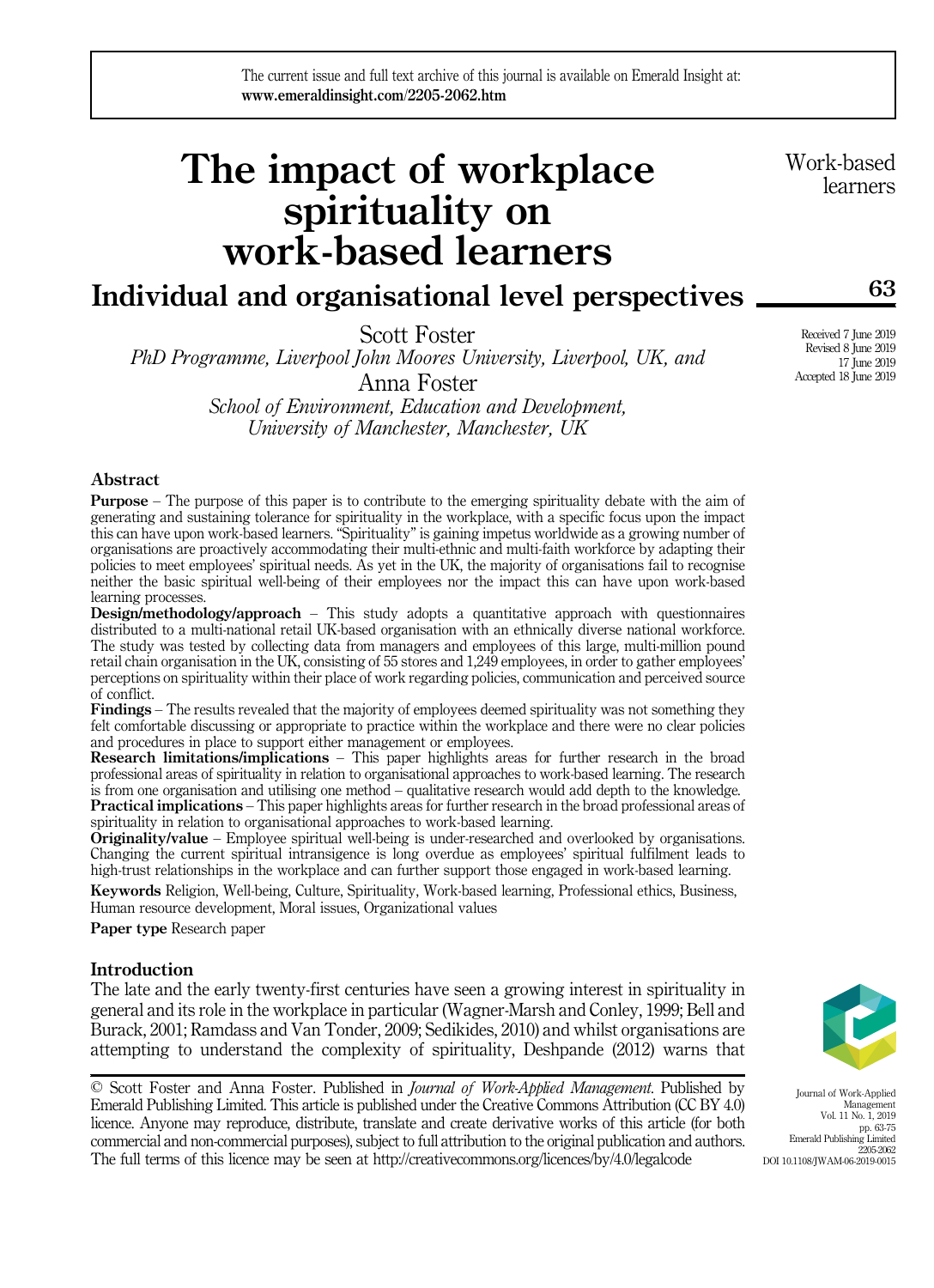The current issue and full text archive of this journal is available on Emerald Insight at: www.emeraldinsight.com/2205-2062.htm

# The impact of workplace spirituality on work-based learners

### Individual and organisational level perspectives

Scott Foster

PhD Programme, Liverpool John Moores University, Liverpool, UK, and

Anna Foster School of Environment, Education and Development, University of Manchester, Manchester, UK

#### Abstract

Purpose – The purpose of this paper is to contribute to the emerging spirituality debate with the aim of generating and sustaining tolerance for spirituality in the workplace, with a specific focus upon the impact this can have upon work-based learners. "Spirituality" is gaining impetus worldwide as a growing number of organisations are proactively accommodating their multi-ethnic and multi-faith workforce by adapting their policies to meet employees' spiritual needs. As yet in the UK, the majority of organisations fail to recognise neither the basic spiritual well-being of their employees nor the impact this can have upon work-based learning processes.

**Design/methodology/approach** – This study adopts a quantitative approach with questionnaires distributed to a multi-national retail UK-based organisation with an ethnically diverse national workforce. The study was tested by collecting data from managers and employees of this large, multi-million pound retail chain organisation in the UK, consisting of 55 stores and 1,249 employees, in order to gather employees' perceptions on spirituality within their place of work regarding policies, communication and perceived source of conflict.

Findings – The results revealed that the majority of employees deemed spirituality was not something they felt comfortable discussing or appropriate to practice within the workplace and there were no clear policies and procedures in place to support either management or employees.

Research limitations/implications – This paper highlights areas for further research in the broad professional areas of spirituality in relation to organisational approaches to work-based learning. The research is from one organisation and utilising one method – qualitative research would add depth to the knowledge. Practical implications – This paper highlights areas for further research in the broad professional areas of spirituality in relation to organisational approaches to work-based learning.

Originality/value – Employee spiritual well-being is under-researched and overlooked by organisations. Changing the current spiritual intransigence is long overdue as employees' spiritual fulfilment leads to high-trust relationships in the workplace and can further support those engaged in work-based learning.

Keywords Religion, Well-being, Culture, Spirituality, Work-based learning, Professional ethics, Business, Human resource development, Moral issues, Organizational values

Paper type Research paper

#### Introduction

The late and the early twenty-first centuries have seen a growing interest in spirituality in general and its role in the workplace in particular (Wagner-Marsh and Conley, 1999; Bell and Burack, 2001; Ramdass and Van Tonder, 2009; Sedikides, 2010) and whilst organisations are attempting to understand the complexity of spirituality, Deshpande (2012) warns that

© Scott Foster and Anna Foster. Published in Journal of Work-Applied Management. Published by Emerald Publishing Limited. This article is published under the Creative Commons Attribution (CC BY 4.0) licence. Anyone may reproduce, distribute, translate and create derivative works of this article (for both commercial and non-commercial purposes), subject to full attribution to the original publication and authors. The full terms of this licence may be seen at<http://creativecommons.org/licences/by/4.0/legalcode>

Journal of Work-Applied Management Vol. 11 No. 1, 2019 pp. 63-75 Emerald Publishing Limited 2205-2062 DOI 10.1108/JWAM-06-2019-0015

Work-based learners

Received 7 June 2019 Revised 8 June 2019 17 June 2019 Accepted 18 June 2019

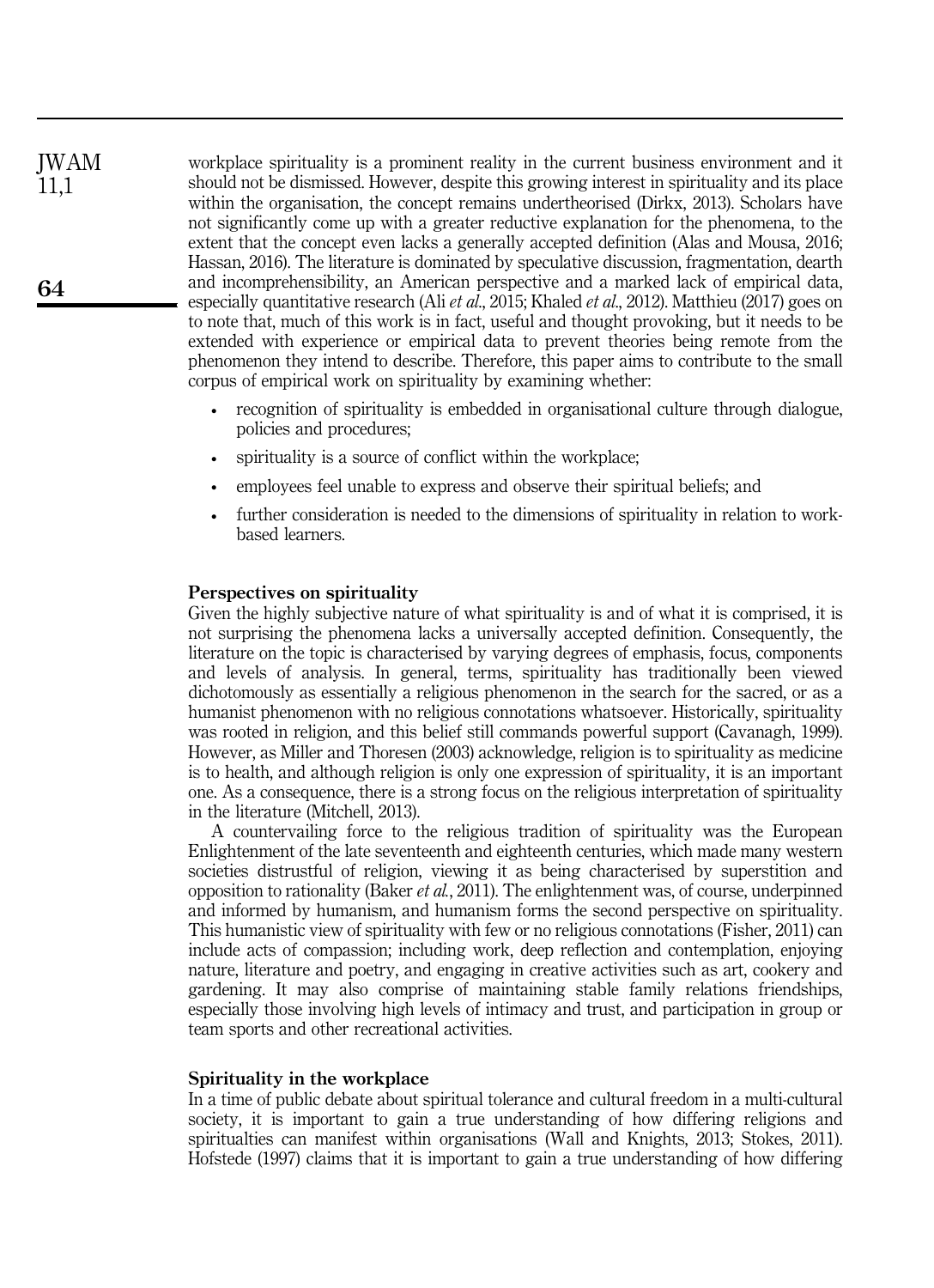workplace spirituality is a prominent reality in the current business environment and it should not be dismissed. However, despite this growing interest in spirituality and its place within the organisation, the concept remains undertheorised (Dirkx, 2013). Scholars have not significantly come up with a greater reductive explanation for the phenomena, to the extent that the concept even lacks a generally accepted definition (Alas and Mousa, 2016; Hassan, 2016). The literature is dominated by speculative discussion, fragmentation, dearth and incomprehensibility, an American perspective and a marked lack of empirical data, especially quantitative research (Ali et al., 2015; Khaled et al., 2012). Matthieu (2017) goes on to note that, much of this work is in fact, useful and thought provoking, but it needs to be extended with experience or empirical data to prevent theories being remote from the phenomenon they intend to describe. Therefore, this paper aims to contribute to the small corpus of empirical work on spirituality by examining whether: JWAM

- recognition of spirituality is embedded in organisational culture through dialogue, policies and procedures;
- spirituality is a source of conflict within the workplace;
- employees feel unable to express and observe their spiritual beliefs; and
- further consideration is needed to the dimensions of spirituality in relation to workbased learners.

#### Perspectives on spirituality

Given the highly subjective nature of what spirituality is and of what it is comprised, it is not surprising the phenomena lacks a universally accepted definition. Consequently, the literature on the topic is characterised by varying degrees of emphasis, focus, components and levels of analysis. In general, terms, spirituality has traditionally been viewed dichotomously as essentially a religious phenomenon in the search for the sacred, or as a humanist phenomenon with no religious connotations whatsoever. Historically, spirituality was rooted in religion, and this belief still commands powerful support (Cavanagh, 1999). However, as Miller and Thoresen (2003) acknowledge, religion is to spirituality as medicine is to health, and although religion is only one expression of spirituality, it is an important one. As a consequence, there is a strong focus on the religious interpretation of spirituality in the literature (Mitchell, 2013).

A countervailing force to the religious tradition of spirituality was the European Enlightenment of the late seventeenth and eighteenth centuries, which made many western societies distrustful of religion, viewing it as being characterised by superstition and opposition to rationality (Baker *et al.*, 2011). The enlightenment was, of course, underpinned and informed by humanism, and humanism forms the second perspective on spirituality. This humanistic view of spirituality with few or no religious connotations (Fisher, 2011) can include acts of compassion; including work, deep reflection and contemplation, enjoying nature, literature and poetry, and engaging in creative activities such as art, cookery and gardening. It may also comprise of maintaining stable family relations friendships, especially those involving high levels of intimacy and trust, and participation in group or team sports and other recreational activities.

#### Spirituality in the workplace

In a time of public debate about spiritual tolerance and cultural freedom in a multi-cultural society, it is important to gain a true understanding of how differing religions and spiritualties can manifest within organisations (Wall and Knights, 2013; Stokes, 2011). Hofstede (1997) claims that it is important to gain a true understanding of how differing

11,1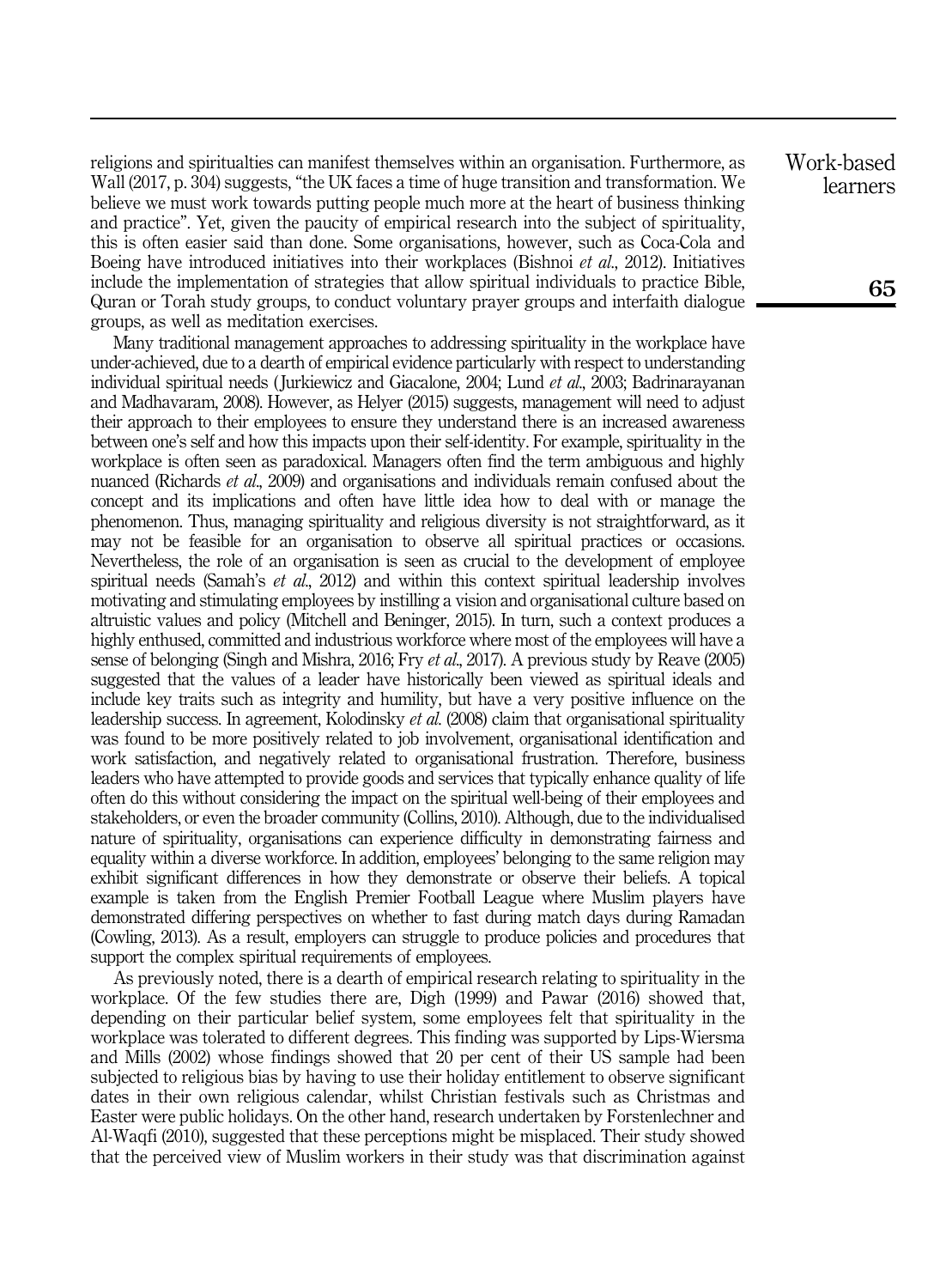religions and spiritualties can manifest themselves within an organisation. Furthermore, as Wall (2017, p. 304) suggests, "the UK faces a time of huge transition and transformation. We believe we must work towards putting people much more at the heart of business thinking and practice". Yet, given the paucity of empirical research into the subject of spirituality, this is often easier said than done. Some organisations, however, such as Coca-Cola and Boeing have introduced initiatives into their workplaces (Bishnoi *et al.*, 2012). Initiatives include the implementation of strategies that allow spiritual individuals to practice Bible, Quran or Torah study groups, to conduct voluntary prayer groups and interfaith dialogue groups, as well as meditation exercises.

Many traditional management approaches to addressing spirituality in the workplace have under-achieved, due to a dearth of empirical evidence particularly with respect to understanding individual spiritual needs ( Jurkiewicz and Giacalone, 2004; Lund et al., 2003; Badrinarayanan and Madhavaram, 2008). However, as Helyer (2015) suggests, management will need to adjust their approach to their employees to ensure they understand there is an increased awareness between one's self and how this impacts upon their self-identity. For example, spirituality in the workplace is often seen as paradoxical. Managers often find the term ambiguous and highly nuanced (Richards et al., 2009) and organisations and individuals remain confused about the concept and its implications and often have little idea how to deal with or manage the phenomenon. Thus, managing spirituality and religious diversity is not straightforward, as it may not be feasible for an organisation to observe all spiritual practices or occasions. Nevertheless, the role of an organisation is seen as crucial to the development of employee spiritual needs (Samah's *et al.*, 2012) and within this context spiritual leadership involves motivating and stimulating employees by instilling a vision and organisational culture based on altruistic values and policy (Mitchell and Beninger, 2015). In turn, such a context produces a highly enthused, committed and industrious workforce where most of the employees will have a sense of belonging (Singh and Mishra, 2016; Fry *et al.*, 2017). A previous study by Reave (2005) suggested that the values of a leader have historically been viewed as spiritual ideals and include key traits such as integrity and humility, but have a very positive influence on the leadership success. In agreement, Kolodinsky et al. (2008) claim that organisational spirituality was found to be more positively related to job involvement, organisational identification and work satisfaction, and negatively related to organisational frustration. Therefore, business leaders who have attempted to provide goods and services that typically enhance quality of life often do this without considering the impact on the spiritual well-being of their employees and stakeholders, or even the broader community (Collins, 2010). Although, due to the individualised nature of spirituality, organisations can experience difficulty in demonstrating fairness and equality within a diverse workforce. In addition, employees' belonging to the same religion may exhibit significant differences in how they demonstrate or observe their beliefs. A topical example is taken from the English Premier Football League where Muslim players have demonstrated differing perspectives on whether to fast during match days during Ramadan (Cowling, 2013). As a result, employers can struggle to produce policies and procedures that support the complex spiritual requirements of employees.

As previously noted, there is a dearth of empirical research relating to spirituality in the workplace. Of the few studies there are, Digh (1999) and Pawar (2016) showed that, depending on their particular belief system, some employees felt that spirituality in the workplace was tolerated to different degrees. This finding was supported by Lips-Wiersma and Mills (2002) whose findings showed that 20 per cent of their US sample had been subjected to religious bias by having to use their holiday entitlement to observe significant dates in their own religious calendar, whilst Christian festivals such as Christmas and Easter were public holidays. On the other hand, research undertaken by Forstenlechner and Al-Waqfi (2010), suggested that these perceptions might be misplaced. Their study showed that the perceived view of Muslim workers in their study was that discrimination against Work-based learners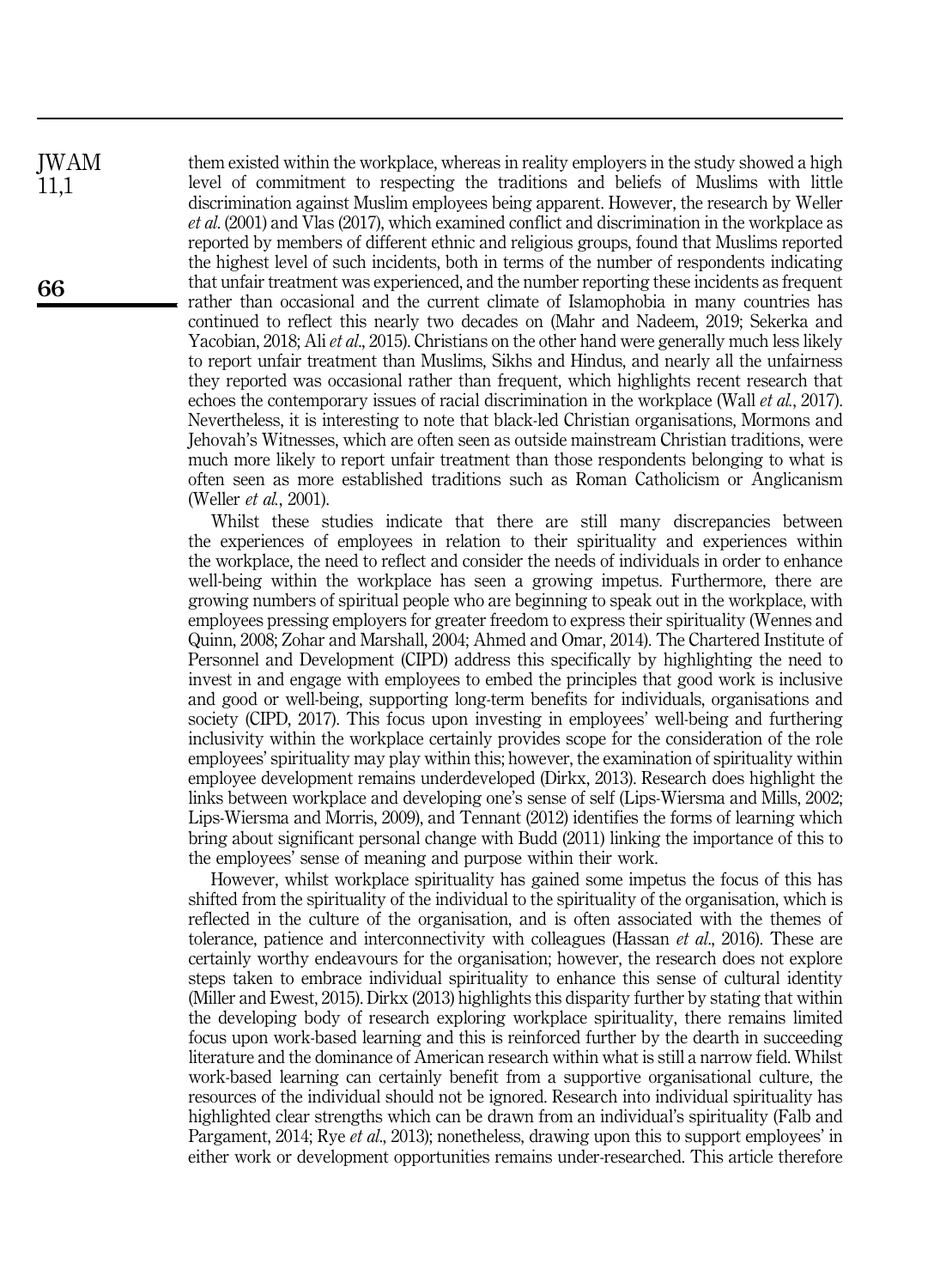them existed within the workplace, whereas in reality employers in the study showed a high level of commitment to respecting the traditions and beliefs of Muslims with little discrimination against Muslim employees being apparent. However, the research by Weller et al. (2001) and Vlas (2017), which examined conflict and discrimination in the workplace as reported by members of different ethnic and religious groups, found that Muslims reported the highest level of such incidents, both in terms of the number of respondents indicating that unfair treatment was experienced, and the number reporting these incidents as frequent rather than occasional and the current climate of Islamophobia in many countries has continued to reflect this nearly two decades on (Mahr and Nadeem, 2019; Sekerka and Yacobian, 2018; Ali *et al.*, 2015). Christians on the other hand were generally much less likely to report unfair treatment than Muslims, Sikhs and Hindus, and nearly all the unfairness they reported was occasional rather than frequent, which highlights recent research that echoes the contemporary issues of racial discrimination in the workplace (Wall *et al.*, 2017). Nevertheless, it is interesting to note that black-led Christian organisations, Mormons and Jehovah's Witnesses, which are often seen as outside mainstream Christian traditions, were much more likely to report unfair treatment than those respondents belonging to what is often seen as more established traditions such as Roman Catholicism or Anglicanism (Weller et al., 2001).

Whilst these studies indicate that there are still many discrepancies between the experiences of employees in relation to their spirituality and experiences within the workplace, the need to reflect and consider the needs of individuals in order to enhance well-being within the workplace has seen a growing impetus. Furthermore, there are growing numbers of spiritual people who are beginning to speak out in the workplace, with employees pressing employers for greater freedom to express their spirituality (Wennes and Quinn, 2008; Zohar and Marshall, 2004; Ahmed and Omar, 2014). The Chartered Institute of Personnel and Development (CIPD) address this specifically by highlighting the need to invest in and engage with employees to embed the principles that good work is inclusive and good or well-being, supporting long-term benefits for individuals, organisations and society (CIPD, 2017). This focus upon investing in employees' well-being and furthering inclusivity within the workplace certainly provides scope for the consideration of the role employees' spirituality may play within this; however, the examination of spirituality within employee development remains underdeveloped (Dirkx, 2013). Research does highlight the links between workplace and developing one's sense of self (Lips-Wiersma and Mills, 2002; Lips-Wiersma and Morris, 2009), and Tennant (2012) identifies the forms of learning which bring about significant personal change with Budd (2011) linking the importance of this to the employees' sense of meaning and purpose within their work.

However, whilst workplace spirituality has gained some impetus the focus of this has shifted from the spirituality of the individual to the spirituality of the organisation, which is reflected in the culture of the organisation, and is often associated with the themes of tolerance, patience and interconnectivity with colleagues (Hassan et al., 2016). These are certainly worthy endeavours for the organisation; however, the research does not explore steps taken to embrace individual spirituality to enhance this sense of cultural identity (Miller and Ewest, 2015). Dirkx (2013) highlights this disparity further by stating that within the developing body of research exploring workplace spirituality, there remains limited focus upon work-based learning and this is reinforced further by the dearth in succeeding literature and the dominance of American research within what is still a narrow field. Whilst work-based learning can certainly benefit from a supportive organisational culture, the resources of the individual should not be ignored. Research into individual spirituality has highlighted clear strengths which can be drawn from an individual's spirituality (Falb and Pargament, 2014; Rye *et al.*, 2013); nonetheless, drawing upon this to support employees' in either work or development opportunities remains under-researched. This article therefore

66

JWAM 11,1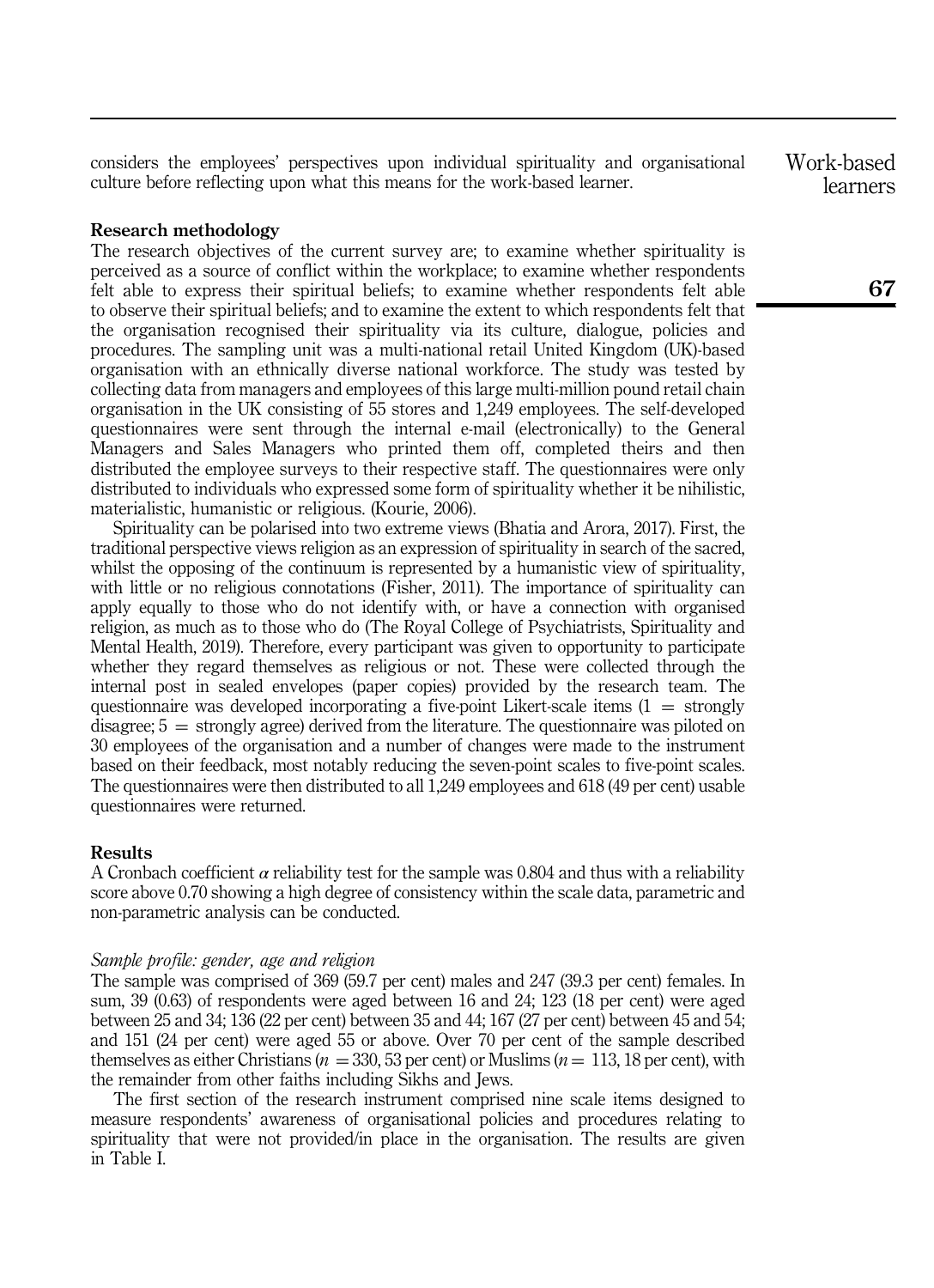considers the employees' perspectives upon individual spirituality and organisational culture before reflecting upon what this means for the work-based learner.

#### Research methodology

The research objectives of the current survey are; to examine whether spirituality is perceived as a source of conflict within the workplace; to examine whether respondents felt able to express their spiritual beliefs; to examine whether respondents felt able to observe their spiritual beliefs; and to examine the extent to which respondents felt that the organisation recognised their spirituality via its culture, dialogue, policies and procedures. The sampling unit was a multi-national retail United Kingdom (UK)-based organisation with an ethnically diverse national workforce. The study was tested by collecting data from managers and employees of this large multi-million pound retail chain organisation in the UK consisting of 55 stores and 1,249 employees. The self-developed questionnaires were sent through the internal e-mail (electronically) to the General Managers and Sales Managers who printed them off, completed theirs and then distributed the employee surveys to their respective staff. The questionnaires were only distributed to individuals who expressed some form of spirituality whether it be nihilistic, materialistic, humanistic or religious. (Kourie, 2006).

Spirituality can be polarised into two extreme views (Bhatia and Arora, 2017). First, the traditional perspective views religion as an expression of spirituality in search of the sacred, whilst the opposing of the continuum is represented by a humanistic view of spirituality, with little or no religious connotations (Fisher, 2011). The importance of spirituality can apply equally to those who do not identify with, or have a connection with organised religion, as much as to those who do (The Royal College of Psychiatrists, Spirituality and Mental Health, 2019). Therefore, every participant was given to opportunity to participate whether they regard themselves as religious or not. These were collected through the internal post in sealed envelopes (paper copies) provided by the research team. The questionnaire was developed incorporating a five-point Likert-scale items  $(1 = \text{strongly})$  $disagree; 5 = strongly agree)$  derived from the literature. The questionnaire was piloted on 30 employees of the organisation and a number of changes were made to the instrument based on their feedback, most notably reducing the seven-point scales to five-point scales. The questionnaires were then distributed to all 1,249 employees and 618 (49 per cent) usable questionnaires were returned.

#### Results

A Cronbach coefficient  $\alpha$  reliability test for the sample was 0.804 and thus with a reliability score above 0.70 showing a high degree of consistency within the scale data, parametric and non-parametric analysis can be conducted.

#### Sample profile: gender, age and religion

The sample was comprised of 369 (59.7 per cent) males and 247 (39.3 per cent) females. In sum, 39 (0.63) of respondents were aged between 16 and 24; 123 (18 per cent) were aged between 25 and 34; 136 (22 per cent) between 35 and 44; 167 (27 per cent) between 45 and 54; and 151 (24 per cent) were aged 55 or above. Over 70 per cent of the sample described themselves as either Christians ( $n = 330, 53$  per cent) or Muslims ( $n = 113, 18$  per cent), with the remainder from other faiths including Sikhs and Jews.

The first section of the research instrument comprised nine scale items designed to measure respondents' awareness of organisational policies and procedures relating to spirituality that were not provided/in place in the organisation. The results are given in Table I.

Work-based learners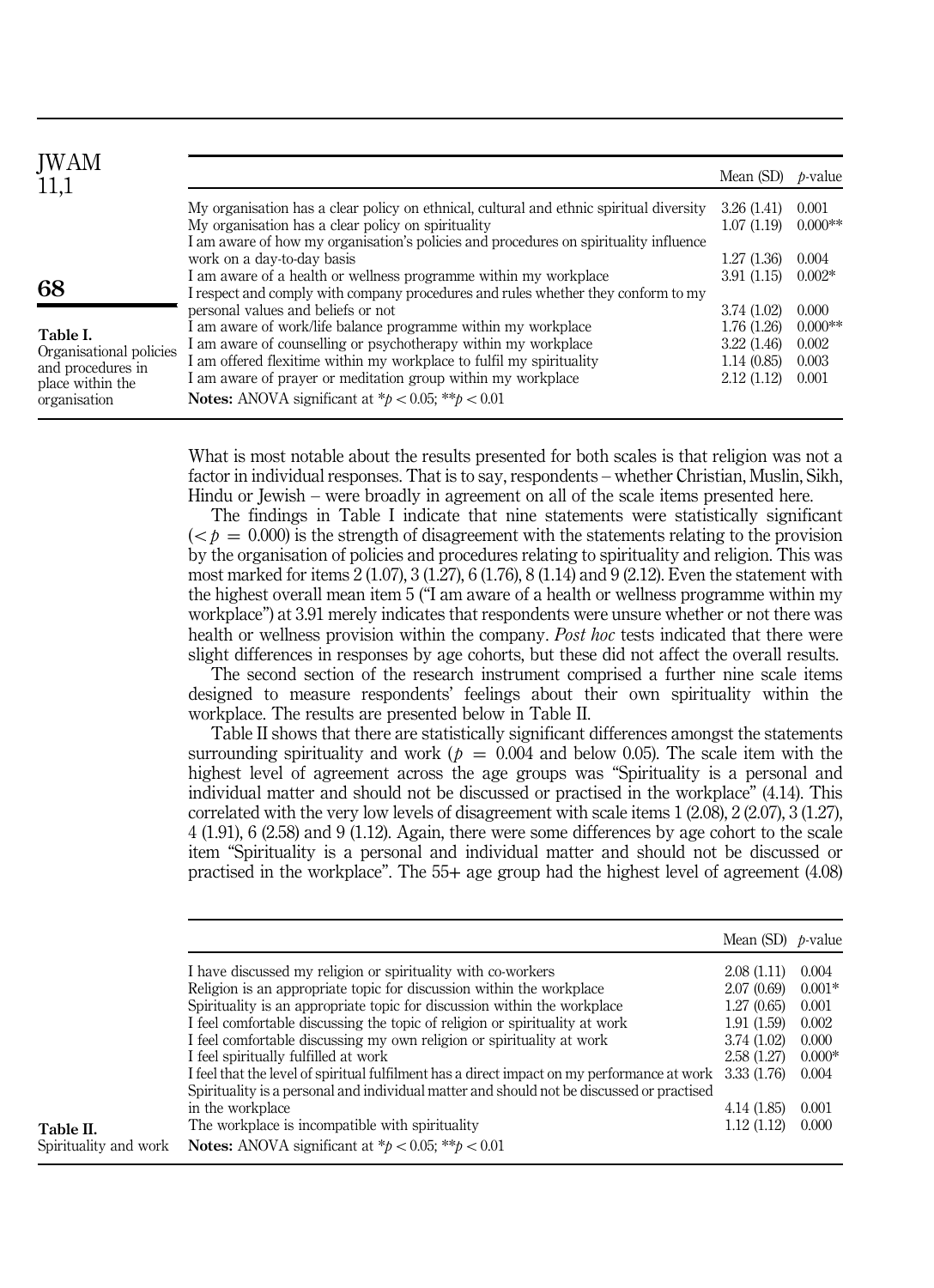| JWAM<br>11,1                                                                                 |                                                                                                                                                                                                                                                                                                                                              | Mean (SD)                                             | <i>b</i> -value                      |
|----------------------------------------------------------------------------------------------|----------------------------------------------------------------------------------------------------------------------------------------------------------------------------------------------------------------------------------------------------------------------------------------------------------------------------------------------|-------------------------------------------------------|--------------------------------------|
|                                                                                              | My organisation has a clear policy on ethnical, cultural and ethnic spiritual diversity<br>My organisation has a clear policy on spirituality<br>I am aware of how my organisation's policies and procedures on spirituality influence                                                                                                       | 3.26(1.41)<br>1.07(1.19)                              | 0.001<br>$0.000**$                   |
| 68                                                                                           | work on a day-to-day basis<br>I am aware of a health or wellness programme within my workplace<br>I respect and comply with company procedures and rules whether they conform to my<br>personal values and beliefs or not                                                                                                                    | 1.27(1.36)<br>3.91(1.15)<br>3.74(1.02)                | 0.004<br>$0.002*$<br>0.000           |
| Table I.<br>Organisational policies<br>and procedures in<br>place within the<br>organisation | I am aware of work/life balance programme within my workplace<br>I am aware of counselling or psychotherapy within my workplace<br>I am offered flexitime within my workplace to fulfil my spirituality<br>I am aware of prayer or meditation group within my workplace<br><b>Notes:</b> ANOVA significant at $^*p < 0.05$ ; $^{**}p < 0.01$ | 1.76 (1.26)<br>3.22(1.46)<br>1.14(0.85)<br>2.12(1.12) | $0.000**$<br>0.002<br>0.003<br>0.001 |

What is most notable about the results presented for both scales is that religion was not a factor in individual responses. That is to say, respondents – whether Christian, Muslin, Sikh, Hindu or Jewish – were broadly in agreement on all of the scale items presented here.

The findings in Table I indicate that nine statements were statistically significant  $(*b* = 0.000)$  is the strength of disagreement with the statements relating to the provision by the organisation of policies and procedures relating to spirituality and religion. This was most marked for items 2 (1.07), 3 (1.27), 6 (1.76), 8 (1.14) and 9 (2.12). Even the statement with the highest overall mean item 5 ("I am aware of a health or wellness programme within my workplace") at 3.91 merely indicates that respondents were unsure whether or not there was health or wellness provision within the company. Post hoc tests indicated that there were slight differences in responses by age cohorts, but these did not affect the overall results.

The second section of the research instrument comprised a further nine scale items designed to measure respondents' feelings about their own spirituality within the workplace. The results are presented below in Table II.

Table II shows that there are statistically significant differences amongst the statements surrounding spirituality and work ( $p = 0.004$  and below 0.05). The scale item with the highest level of agreement across the age groups was "Spirituality is a personal and individual matter and should not be discussed or practised in the workplace" (4.14). This correlated with the very low levels of disagreement with scale items 1 (2.08), 2 (2.07), 3 (1.27), 4 (1.91), 6 (2.58) and 9 (1.12). Again, there were some differences by age cohort to the scale item "Spirituality is a personal and individual matter and should not be discussed or practised in the workplace". The 55+ age group had the highest level of agreement (4.08)

|                       |                                                                                                                                                                                                                                                                                                                                                                                                                                                                                                                                                                                                                                                                                     | Mean (SD) $p$ -value                                                                                                             |                                                                                     |
|-----------------------|-------------------------------------------------------------------------------------------------------------------------------------------------------------------------------------------------------------------------------------------------------------------------------------------------------------------------------------------------------------------------------------------------------------------------------------------------------------------------------------------------------------------------------------------------------------------------------------------------------------------------------------------------------------------------------------|----------------------------------------------------------------------------------------------------------------------------------|-------------------------------------------------------------------------------------|
| Table II.             | I have discussed my religion or spirituality with co-workers<br>Religion is an appropriate topic for discussion within the workplace<br>Spirituality is an appropriate topic for discussion within the workplace<br>I feel comfortable discussing the topic of religion or spirituality at work<br>I feel comfortable discussing my own religion or spirituality at work<br>I feel spiritually fulfilled at work<br>I feel that the level of spiritual fulfilment has a direct impact on my performance at work<br>Spirituality is a personal and individual matter and should not be discussed or practised<br>in the workplace<br>The workplace is incompatible with spirituality | 2.08(1.11)<br>2.07 (0.69)<br>1.27(0.65)<br>1.91(1.59)<br>3.74 (1.02)<br>2.58 (1.27)<br>3.33 (1.76)<br>4.14 (1.85)<br>1.12 (1.12) | 0.004<br>$0.001*$<br>0.001<br>0.002<br>0.000<br>$0.000*$<br>0.004<br>0.001<br>0.000 |
| Spirituality and work | <b>Notes:</b> ANOVA significant at $b < 0.05$ ; $**b < 0.01$                                                                                                                                                                                                                                                                                                                                                                                                                                                                                                                                                                                                                        |                                                                                                                                  |                                                                                     |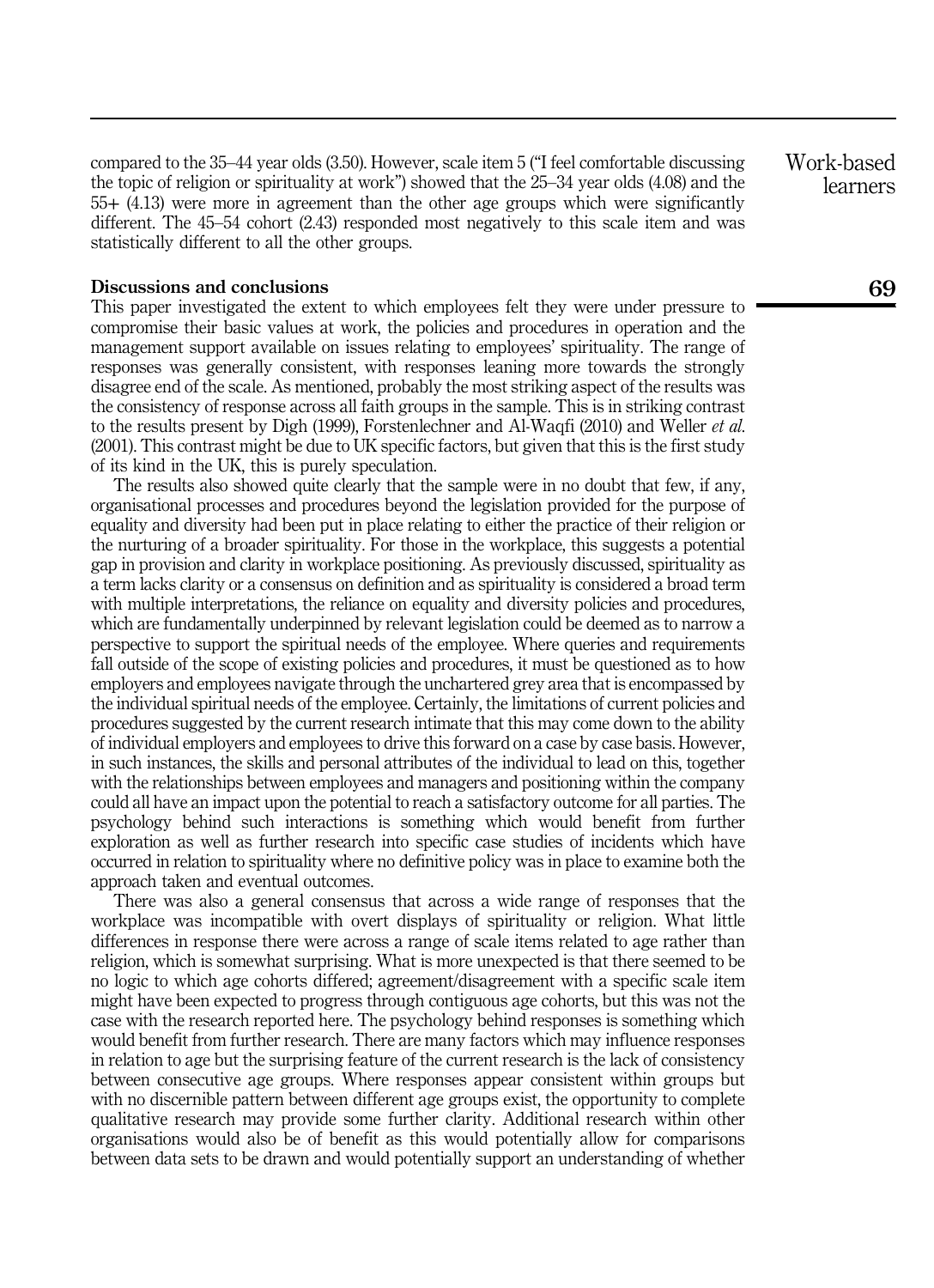compared to the 35–44 year olds (3.50). However, scale item 5 ("I feel comfortable discussing the topic of religion or spirituality at work") showed that the 25–34 year olds (4.08) and the 55+ (4.13) were more in agreement than the other age groups which were significantly different. The 45–54 cohort (2.43) responded most negatively to this scale item and was statistically different to all the other groups.

#### Discussions and conclusions

This paper investigated the extent to which employees felt they were under pressure to compromise their basic values at work, the policies and procedures in operation and the management support available on issues relating to employees' spirituality. The range of responses was generally consistent, with responses leaning more towards the strongly disagree end of the scale. As mentioned, probably the most striking aspect of the results was the consistency of response across all faith groups in the sample. This is in striking contrast to the results present by Digh (1999), Forstenlechner and Al-Waqfi (2010) and Weller et al. (2001). This contrast might be due to UK specific factors, but given that this is the first study of its kind in the UK, this is purely speculation.

The results also showed quite clearly that the sample were in no doubt that few, if any, organisational processes and procedures beyond the legislation provided for the purpose of equality and diversity had been put in place relating to either the practice of their religion or the nurturing of a broader spirituality. For those in the workplace, this suggests a potential gap in provision and clarity in workplace positioning. As previously discussed, spirituality as a term lacks clarity or a consensus on definition and as spirituality is considered a broad term with multiple interpretations, the reliance on equality and diversity policies and procedures, which are fundamentally underpinned by relevant legislation could be deemed as to narrow a perspective to support the spiritual needs of the employee. Where queries and requirements fall outside of the scope of existing policies and procedures, it must be questioned as to how employers and employees navigate through the unchartered grey area that is encompassed by the individual spiritual needs of the employee. Certainly, the limitations of current policies and procedures suggested by the current research intimate that this may come down to the ability of individual employers and employees to drive this forward on a case by case basis. However, in such instances, the skills and personal attributes of the individual to lead on this, together with the relationships between employees and managers and positioning within the company could all have an impact upon the potential to reach a satisfactory outcome for all parties. The psychology behind such interactions is something which would benefit from further exploration as well as further research into specific case studies of incidents which have occurred in relation to spirituality where no definitive policy was in place to examine both the approach taken and eventual outcomes.

There was also a general consensus that across a wide range of responses that the workplace was incompatible with overt displays of spirituality or religion. What little differences in response there were across a range of scale items related to age rather than religion, which is somewhat surprising. What is more unexpected is that there seemed to be no logic to which age cohorts differed; agreement/disagreement with a specific scale item might have been expected to progress through contiguous age cohorts, but this was not the case with the research reported here. The psychology behind responses is something which would benefit from further research. There are many factors which may influence responses in relation to age but the surprising feature of the current research is the lack of consistency between consecutive age groups. Where responses appear consistent within groups but with no discernible pattern between different age groups exist, the opportunity to complete qualitative research may provide some further clarity. Additional research within other organisations would also be of benefit as this would potentially allow for comparisons between data sets to be drawn and would potentially support an understanding of whether

Work-based learners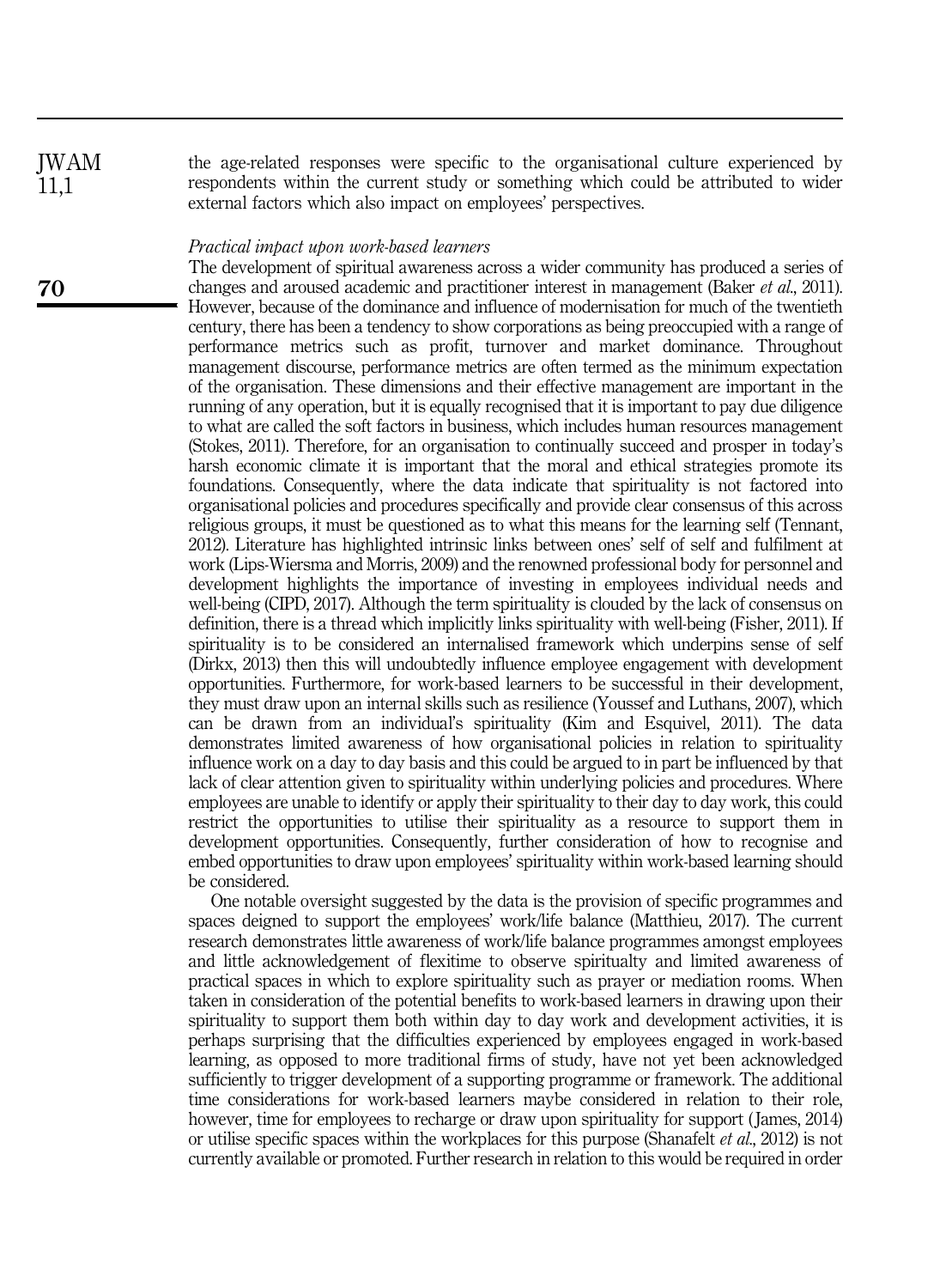the age-related responses were specific to the organisational culture experienced by respondents within the current study or something which could be attributed to wider external factors which also impact on employees' perspectives. JWAM

#### Practical impact upon work-based learners

The development of spiritual awareness across a wider community has produced a series of changes and aroused academic and practitioner interest in management (Baker et al., 2011). However, because of the dominance and influence of modernisation for much of the twentieth century, there has been a tendency to show corporations as being preoccupied with a range of performance metrics such as profit, turnover and market dominance. Throughout management discourse, performance metrics are often termed as the minimum expectation of the organisation. These dimensions and their effective management are important in the running of any operation, but it is equally recognised that it is important to pay due diligence to what are called the soft factors in business, which includes human resources management (Stokes, 2011). Therefore, for an organisation to continually succeed and prosper in today's harsh economic climate it is important that the moral and ethical strategies promote its foundations. Consequently, where the data indicate that spirituality is not factored into organisational policies and procedures specifically and provide clear consensus of this across religious groups, it must be questioned as to what this means for the learning self (Tennant, 2012). Literature has highlighted intrinsic links between ones' self of self and fulfilment at work (Lips-Wiersma and Morris, 2009) and the renowned professional body for personnel and development highlights the importance of investing in employees individual needs and well-being (CIPD, 2017). Although the term spirituality is clouded by the lack of consensus on definition, there is a thread which implicitly links spirituality with well-being (Fisher, 2011). If spirituality is to be considered an internalised framework which underpins sense of self (Dirkx, 2013) then this will undoubtedly influence employee engagement with development opportunities. Furthermore, for work-based learners to be successful in their development, they must draw upon an internal skills such as resilience (Youssef and Luthans, 2007), which can be drawn from an individual's spirituality (Kim and Esquivel, 2011). The data demonstrates limited awareness of how organisational policies in relation to spirituality influence work on a day to day basis and this could be argued to in part be influenced by that lack of clear attention given to spirituality within underlying policies and procedures. Where employees are unable to identify or apply their spirituality to their day to day work, this could restrict the opportunities to utilise their spirituality as a resource to support them in development opportunities. Consequently, further consideration of how to recognise and embed opportunities to draw upon employees' spirituality within work-based learning should be considered.

One notable oversight suggested by the data is the provision of specific programmes and spaces deigned to support the employees' work/life balance (Matthieu, 2017). The current research demonstrates little awareness of work/life balance programmes amongst employees and little acknowledgement of flexitime to observe spiritualty and limited awareness of practical spaces in which to explore spirituality such as prayer or mediation rooms. When taken in consideration of the potential benefits to work-based learners in drawing upon their spirituality to support them both within day to day work and development activities, it is perhaps surprising that the difficulties experienced by employees engaged in work-based learning, as opposed to more traditional firms of study, have not yet been acknowledged sufficiently to trigger development of a supporting programme or framework. The additional time considerations for work-based learners maybe considered in relation to their role, however, time for employees to recharge or draw upon spirituality for support (James, 2014) or utilise specific spaces within the workplaces for this purpose (Shanafelt et al., 2012) is not currently available or promoted. Further research in relation to this would be required in order

70

11,1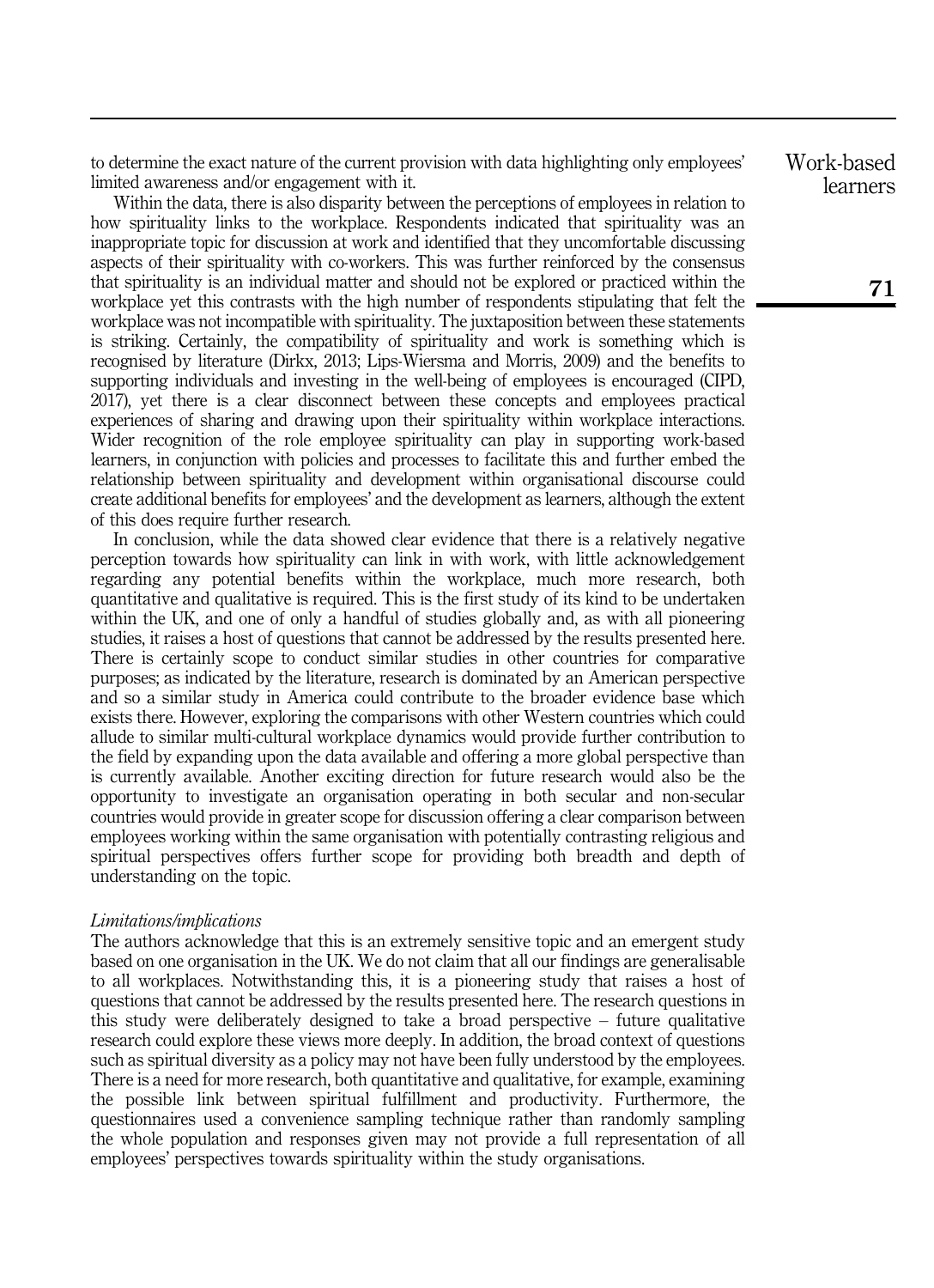to determine the exact nature of the current provision with data highlighting only employees' limited awareness and/or engagement with it.

Within the data, there is also disparity between the perceptions of employees in relation to how spirituality links to the workplace. Respondents indicated that spirituality was an inappropriate topic for discussion at work and identified that they uncomfortable discussing aspects of their spirituality with co-workers. This was further reinforced by the consensus that spirituality is an individual matter and should not be explored or practiced within the workplace yet this contrasts with the high number of respondents stipulating that felt the workplace was not incompatible with spirituality. The juxtaposition between these statements is striking. Certainly, the compatibility of spirituality and work is something which is recognised by literature (Dirkx, 2013; Lips-Wiersma and Morris, 2009) and the benefits to supporting individuals and investing in the well-being of employees is encouraged (CIPD, 2017), yet there is a clear disconnect between these concepts and employees practical experiences of sharing and drawing upon their spirituality within workplace interactions. Wider recognition of the role employee spirituality can play in supporting work-based learners, in conjunction with policies and processes to facilitate this and further embed the relationship between spirituality and development within organisational discourse could create additional benefits for employees' and the development as learners, although the extent of this does require further research.

In conclusion, while the data showed clear evidence that there is a relatively negative perception towards how spirituality can link in with work, with little acknowledgement regarding any potential benefits within the workplace, much more research, both quantitative and qualitative is required. This is the first study of its kind to be undertaken within the UK, and one of only a handful of studies globally and, as with all pioneering studies, it raises a host of questions that cannot be addressed by the results presented here. There is certainly scope to conduct similar studies in other countries for comparative purposes; as indicated by the literature, research is dominated by an American perspective and so a similar study in America could contribute to the broader evidence base which exists there. However, exploring the comparisons with other Western countries which could allude to similar multi-cultural workplace dynamics would provide further contribution to the field by expanding upon the data available and offering a more global perspective than is currently available. Another exciting direction for future research would also be the opportunity to investigate an organisation operating in both secular and non-secular countries would provide in greater scope for discussion offering a clear comparison between employees working within the same organisation with potentially contrasting religious and spiritual perspectives offers further scope for providing both breadth and depth of understanding on the topic.

#### Limitations/implications

The authors acknowledge that this is an extremely sensitive topic and an emergent study based on one organisation in the UK. We do not claim that all our findings are generalisable to all workplaces. Notwithstanding this, it is a pioneering study that raises a host of questions that cannot be addressed by the results presented here. The research questions in this study were deliberately designed to take a broad perspective – future qualitative research could explore these views more deeply. In addition, the broad context of questions such as spiritual diversity as a policy may not have been fully understood by the employees. There is a need for more research, both quantitative and qualitative, for example, examining the possible link between spiritual fulfillment and productivity. Furthermore, the questionnaires used a convenience sampling technique rather than randomly sampling the whole population and responses given may not provide a full representation of all employees' perspectives towards spirituality within the study organisations.

Work-based learners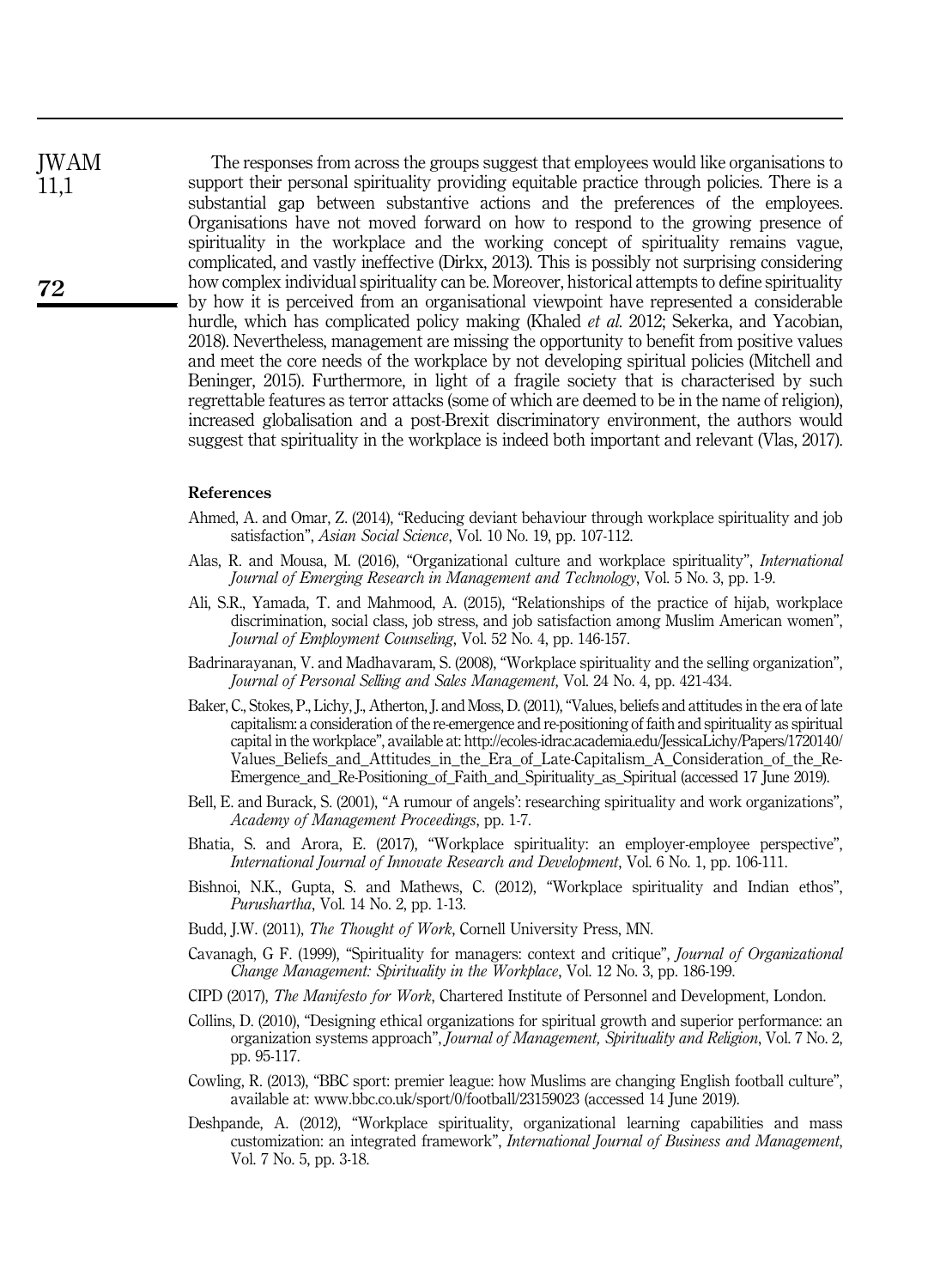The responses from across the groups suggest that employees would like organisations to support their personal spirituality providing equitable practice through policies. There is a substantial gap between substantive actions and the preferences of the employees. Organisations have not moved forward on how to respond to the growing presence of spirituality in the workplace and the working concept of spirituality remains vague, complicated, and vastly ineffective (Dirkx, 2013). This is possibly not surprising considering how complex individual spirituality can be. Moreover, historical attempts to define spirituality by how it is perceived from an organisational viewpoint have represented a considerable hurdle, which has complicated policy making (Khaled *et al.* 2012; Sekerka, and Yacobian, 2018). Nevertheless, management are missing the opportunity to benefit from positive values and meet the core needs of the workplace by not developing spiritual policies (Mitchell and Beninger, 2015). Furthermore, in light of a fragile society that is characterised by such regrettable features as terror attacks (some of which are deemed to be in the name of religion), increased globalisation and a post-Brexit discriminatory environment, the authors would suggest that spirituality in the workplace is indeed both important and relevant (Vlas, 2017).

#### References

- Ahmed, A. and Omar, Z. (2014), "Reducing deviant behaviour through workplace spirituality and job satisfaction", Asian Social Science, Vol. 10 No. 19, pp. 107-112.
- Alas, R. and Mousa, M. (2016), "Organizational culture and workplace spirituality", International Journal of Emerging Research in Management and Technology, Vol. 5 No. 3, pp. 1-9.
- Ali, S.R., Yamada, T. and Mahmood, A. (2015), "Relationships of the practice of hijab, workplace discrimination, social class, job stress, and job satisfaction among Muslim American women", Journal of Employment Counseling, Vol. 52 No. 4, pp. 146-157.
- Badrinarayanan, V. and Madhavaram, S. (2008), "Workplace spirituality and the selling organization", Journal of Personal Selling and Sales Management, Vol. 24 No. 4, pp. 421-434.
- Baker, C., Stokes, P., Lichy, J., Atherton, J. and Moss, D. (2011),"Values, beliefs and attitudes in the era of late capitalism: a consideration of the re-emergence and re-positioning of faith and spirituality as spiritual capital in the workplace", available at: [http://ecoles-idrac.academia.edu/JessicaLichy/Papers/1720140/](http://ecoles-idrac.academia.edu/JessicaLichy/Papers/1720140/Values_Beliefs_and_Attitudes_in_the_Era_of_Late-Capitalism_A_Consideration_of_the_Re-Emergence_and_Re-Positioning_of_Faith_and_Spirituality_as_Spiritual) [Values\\_Beliefs\\_and\\_Attitudes\\_in\\_the\\_Era\\_of\\_Late-Capitalism\\_A\\_Consideration\\_of\\_the\\_Re-](http://ecoles-idrac.academia.edu/JessicaLichy/Papers/1720140/Values_Beliefs_and_Attitudes_in_the_Era_of_Late-Capitalism_A_Consideration_of_the_Re-Emergence_and_Re-Positioning_of_Faith_and_Spirituality_as_Spiritual)Emergence and Re-Positioning of Faith and Spirituality as Spiritual (accessed 17 June 2019).
- Bell, E. and Burack, S. (2001), "A rumour of angels': researching spirituality and work organizations", Academy of Management Proceedings, pp. 1-7.
- Bhatia, S. and Arora, E. (2017), "Workplace spirituality: an employer-employee perspective", International Journal of Innovate Research and Development, Vol. 6 No. 1, pp. 106-111.
- Bishnoi, N.K., Gupta, S. and Mathews, C. (2012), "Workplace spirituality and Indian ethos", Purushartha, Vol. 14 No. 2, pp. 1-13.
- Budd, J.W. (2011), The Thought of Work, Cornell University Press, MN.
- Cavanagh, G F. (1999), "Spirituality for managers: context and critique", Journal of Organizational Change Management: Spirituality in the Workplace, Vol. 12 No. 3, pp. 186-199.
- CIPD (2017), The Manifesto for Work, Chartered Institute of Personnel and Development, London.
- Collins, D. (2010), "Designing ethical organizations for spiritual growth and superior performance: an organization systems approach", Journal of Management, Spirituality and Religion, Vol. 7 No. 2, pp. 95-117.
- Cowling, R. (2013), "BBC sport: premier league: how Muslims are changing English football culture", available at:<www.bbc.co.uk/sport/0/football/23159023> (accessed 14 June 2019).
- Deshpande, A. (2012), "Workplace spirituality, organizational learning capabilities and mass customization: an integrated framework", International Journal of Business and Management, Vol. 7 No. 5, pp. 3-18.

JWAM 11,1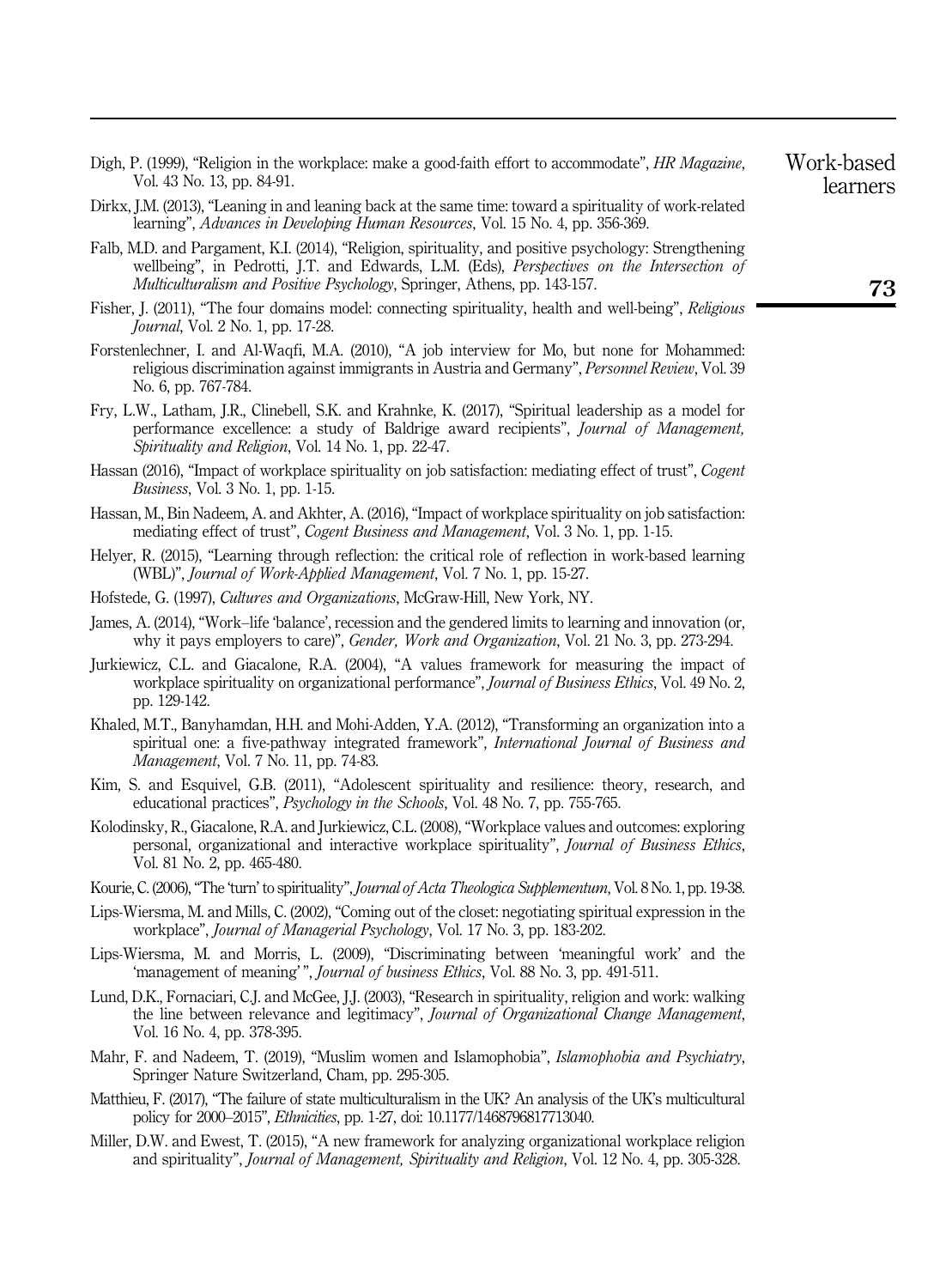- Digh, P. (1999), "Religion in the workplace: make a good-faith effort to accommodate", HR Magazine. Vol. 43 No. 13, pp. 84-91.
- Dirkx, J.M. (2013), "Leaning in and leaning back at the same time: toward a spirituality of work-related learning", Advances in Developing Human Resources, Vol. 15 No. 4, pp. 356-369.
- Falb, M.D. and Pargament, K.I. (2014), "Religion, spirituality, and positive psychology: Strengthening wellbeing", in Pedrotti, J.T. and Edwards, L.M. (Eds), *Perspectives on the Intersection of* Multiculturalism and Positive Psychology, Springer, Athens, pp. 143-157.
- Fisher, J. (2011), "The four domains model: connecting spirituality, health and well-being", Religious Journal, Vol. 2 No. 1, pp. 17-28.
- Forstenlechner, I. and Al-Waqfi, M.A. (2010), "A job interview for Mo, but none for Mohammed: religious discrimination against immigrants in Austria and Germany", Personnel Review, Vol. 39 No. 6, pp. 767-784.
- Fry, L.W., Latham, J.R., Clinebell, S.K. and Krahnke, K. (2017), "Spiritual leadership as a model for performance excellence: a study of Baldrige award recipients", Journal of Management, Spirituality and Religion, Vol. 14 No. 1, pp. 22-47.
- Hassan (2016), "Impact of workplace spirituality on job satisfaction: mediating effect of trust", Cogent Business, Vol. 3 No. 1, pp. 1-15.
- Hassan, M., Bin Nadeem, A. and Akhter, A. (2016), "Impact of workplace spirituality on job satisfaction: mediating effect of trust", Cogent Business and Management, Vol. 3 No. 1, pp. 1-15.
- Helyer, R. (2015), "Learning through reflection: the critical role of reflection in work-based learning (WBL)", Journal of Work-Applied Management, Vol. 7 No. 1, pp. 15-27.
- Hofstede, G. (1997), Cultures and Organizations, McGraw-Hill, New York, NY.
- James, A. (2014), "Work–life 'balance', recession and the gendered limits to learning and innovation (or, why it pays employers to care)", Gender, Work and Organization, Vol. 21 No. 3, pp. 273-294.
- Jurkiewicz, C.L. and Giacalone, R.A. (2004), "A values framework for measuring the impact of workplace spirituality on organizational performance", *Journal of Business Ethics*, Vol. 49 No. 2, pp. 129-142.
- Khaled, M.T., Banyhamdan, H.H. and Mohi-Adden, Y.A. (2012), "Transforming an organization into a spiritual one: a five-pathway integrated framework", International Journal of Business and Management, Vol. 7 No. 11, pp. 74-83.
- Kim, S. and Esquivel, G.B. (2011), "Adolescent spirituality and resilience: theory, research, and educational practices", *Psychology in the Schools*, Vol. 48 No. 7, pp. 755-765.
- Kolodinsky, R., Giacalone, R.A. and Jurkiewicz, C.L. (2008), "Workplace values and outcomes: exploring personal, organizational and interactive workplace spirituality", Journal of Business Ethics, Vol. 81 No. 2, pp. 465-480.
- Kourie, C. (2006), "The 'turn' to spirituality", *Journal of Acta Theologica Supplementum*, Vol. 8 No. 1, pp. 19-38.
- Lips-Wiersma, M. and Mills, C. (2002), "Coming out of the closet: negotiating spiritual expression in the workplace", Journal of Managerial Psychology, Vol. 17 No. 3, pp. 183-202.
- Lips-Wiersma, M. and Morris, L. (2009), "Discriminating between 'meaningful work' and the 'management of meaning' ", Journal of business Ethics, Vol. 88 No. 3, pp. 491-511.
- Lund, D.K., Fornaciari, C.J. and McGee, J.J. (2003), "Research in spirituality, religion and work: walking the line between relevance and legitimacy", Journal of Organizational Change Management, Vol. 16 No. 4, pp. 378-395.
- Mahr, F. and Nadeem, T. (2019), "Muslim women and Islamophobia", Islamophobia and Psychiatry, Springer Nature Switzerland, Cham, pp. 295-305.
- Matthieu, F. (2017), "The failure of state multiculturalism in the UK? An analysis of the UK's multicultural policy for 2000–2015", Ethnicities, pp. 1-27, doi: 10.1177/1468796817713040.
- Miller, D.W. and Ewest, T. (2015), "A new framework for analyzing organizational workplace religion and spirituality", *Journal of Management, Spirituality and Religion*, Vol. 12 No. 4, pp. 305-328.

Work-based learners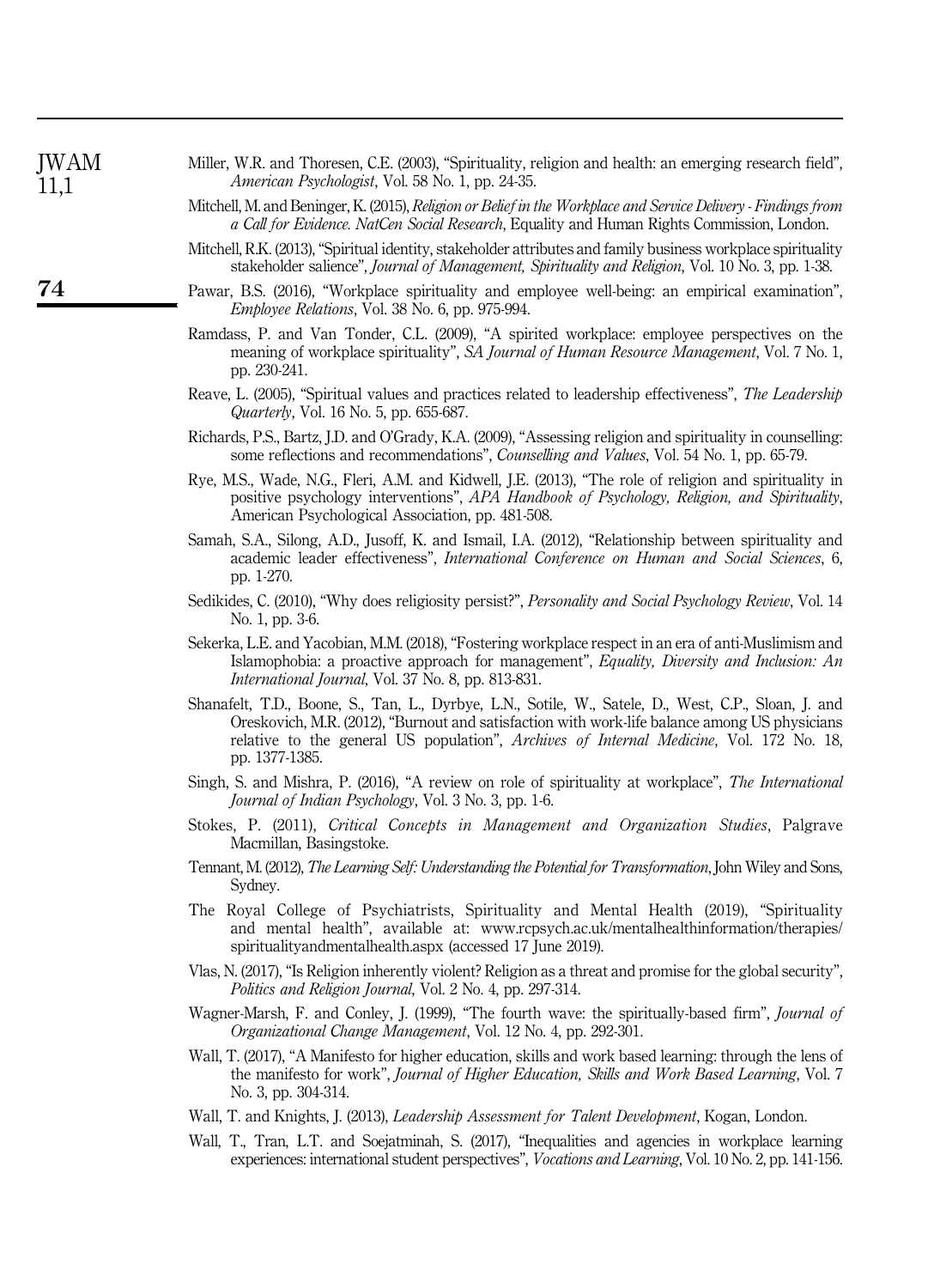| <b>JWAM</b><br>11,1 | Miller, W.R. and Thoresen, C.E. (2003), "Spirituality, religion and health: an emerging research field",<br>American Psychologist, Vol. 58 No. 1, pp. 24-35.                                                                                                                                                       |
|---------------------|--------------------------------------------------------------------------------------------------------------------------------------------------------------------------------------------------------------------------------------------------------------------------------------------------------------------|
|                     | Mitchell, M. and Beninger, K. (2015), Religion or Belief in the Workplace and Service Delivery - Findings from<br>a Call for Evidence. NatCen Social Research, Equality and Human Rights Commission, London.                                                                                                       |
|                     | Mitchell, R.K. (2013), "Spiritual identity, stakeholder attributes and family business workplace spirituality<br>stakeholder salience", Journal of Management, Spirituality and Religion, Vol. 10 No. 3, pp. 1-38.                                                                                                 |
| 74                  | Pawar, B.S. (2016), "Workplace spirituality and employee well-being: an empirical examination",<br><i>Employee Relations, Vol. 38 No. 6, pp. 975-994.</i>                                                                                                                                                          |
|                     | Ramdass, P. and Van Tonder, C.L. (2009), "A spirited workplace: employee perspectives on the<br>meaning of workplace spirituality", SA Journal of Human Resource Management, Vol. 7 No. 1,<br>pp. 230-241.                                                                                                         |
|                     | Reave, L. (2005), "Spiritual values and practices related to leadership effectiveness", The Leadership<br>Quarterly, Vol. 16 No. 5, pp. 655-687.                                                                                                                                                                   |
|                     | Richards, P.S., Bartz, J.D. and O'Grady, K.A. (2009), "Assessing religion and spirituality in counselling:<br>some reflections and recommendations", Counselling and Values, Vol. 54 No. 1, pp. 65-79.                                                                                                             |
|                     | Rye, M.S., Wade, N.G., Fleri, A.M. and Kidwell, J.E. (2013), "The role of religion and spirituality in<br>positive psychology interventions", APA Handbook of Psychology, Religion, and Spirituality,<br>American Psychological Association, pp. 481-508.                                                          |
|                     | Samah, S.A., Silong, A.D., Jusoff, K. and Ismail, I.A. (2012), "Relationship between spirituality and<br>academic leader effectiveness", International Conference on Human and Social Sciences, 6,<br>pp. 1-270.                                                                                                   |
|                     | Sedikides, C. (2010), "Why does religiosity persist?", Personality and Social Psychology Review, Vol. 14<br>No. 1, pp. 3-6.                                                                                                                                                                                        |
|                     | Sekerka, L.E. and Yacobian, M.M. (2018), "Fostering workplace respect in an era of anti-Muslimism and<br>Islamophobia: a proactive approach for management", Equality, Diversity and Inclusion: An<br>International Journal, Vol. 37 No. 8, pp. 813-831.                                                           |
|                     | Shanafelt, T.D., Boone, S., Tan, L., Dyrbye, L.N., Sotile, W., Satele, D., West, C.P., Sloan, J. and<br>Oreskovich, M.R. (2012), "Burnout and satisfaction with work-life balance among US physicians<br>relative to the general US population", Archives of Internal Medicine, Vol. 172 No. 18,<br>pp. 1377-1385. |
|                     | Singh, S. and Mishra, P. (2016), "A review on role of spirituality at workplace", The International<br>Journal of Indian Psychology, Vol. 3 No. 3, pp. 1-6.                                                                                                                                                        |
|                     | Stokes, P. (2011), Critical Concepts in Management and Organization Studies, Palgrave<br>Macmillan, Basingstoke.                                                                                                                                                                                                   |
|                     | Tennant, M. (2012), The Learning Self: Understanding the Potential for Transformation, John Wiley and Sons,<br>Sydney.                                                                                                                                                                                             |
|                     | The Royal College of Psychiatrists, Spirituality and Mental Health (2019), "Spirituality<br>and mental health", available at: www.rcpsych.ac.uk/mentalhealthinformation/therapies/<br>spiritualityandmentalhealth.aspx (accessed 17 June 2019).                                                                    |
|                     | Vlas, N. (2017), "Is Religion inherently violent? Religion as a threat and promise for the global security",<br>Politics and Religion Journal, Vol. 2 No. 4, pp. 297-314.                                                                                                                                          |
|                     | Wagner-Marsh, F. and Conley, J. (1999), "The fourth wave: the spiritually-based firm", <i>Journal of</i><br>Organizational Change Management, Vol. 12 No. 4, pp. 292-301.                                                                                                                                          |
|                     | Wall, T. (2017), "A Manifesto for higher education, skills and work based learning: through the lens of<br>the manifesto for work", Journal of Higher Education, Skills and Work Based Learning, Vol. 7<br>No. 3, pp. 304-314.                                                                                     |
|                     | Wall, T. and Knights, J. (2013), Leadership Assessment for Talent Development, Kogan, London.                                                                                                                                                                                                                      |
|                     | Wall, T., Tran, L.T. and Soejatminah, S. (2017), "Inequalities and agencies in workplace learning<br>experiences: international student perspectives", Vocations and Learning, Vol. 10 No. 2, pp. 141-156.                                                                                                         |